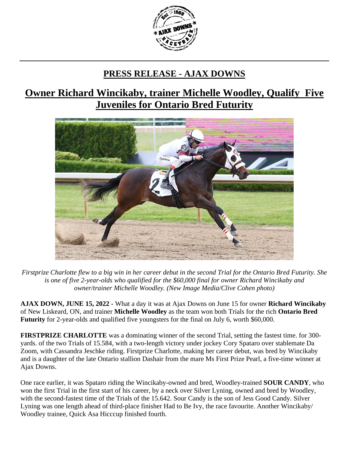

## **PRESS RELEASE - AJAX DOWNS**

## **Owner Richard Wincikaby, trainer Michelle Woodley, Qualify Five Juveniles for Ontario Bred Futurity**



*Firstprize Charlotte flew to a big win in her career debut in the second Trial for the Ontario Bred Futurity. She is one of five 2-year-olds who qualified for the \$60,000 final for owner Richard Wincikaby and owner/trainer Michelle Woodley. (New Image Media/Clive Cohen photo)*

**AJAX DOWN, JUNE 15, 2022 -** What a day it was at Ajax Downs on June 15 for owner **Richard Wincikaby** of New Liskeard, ON, and trainer **Michelle Woodley** as the team won both Trials for the rich **Ontario Bred Futurity** for 2-year-olds and qualified five youngsters for the final on July 6, worth \$60,000.

**FIRSTPRIZE CHARLOTTE** was a dominating winner of the second Trial, setting the fastest time. for 300 yards. of the two Trials of 15.584, with a two-length victory under jockey Cory Spataro over stablemate Da Zoom, with Cassandra Jeschke riding. Firstprize Charlotte, making her career debut, was bred by Wincikaby and is a daughter of the late Ontario stallion Dashair from the mare Ms First Prize Pearl, a five-time winner at Ajax Downs.

One race earlier, it was Spataro riding the Wincikaby-owned and bred, Woodley-trained **SOUR CANDY**, who won the first Trial in the first start of his career, by a neck over Silver Lyning, owned and bred by Woodley, with the second-fastest time of the Trials of the 15.642. Sour Candy is the son of Jess Good Candy. Silver Lyning was one length ahead of third-place finisher Had to Be Ivy, the race favourite. Another Wincikaby/ Woodley trainee, Quick Asa Hicccup finished fourth.